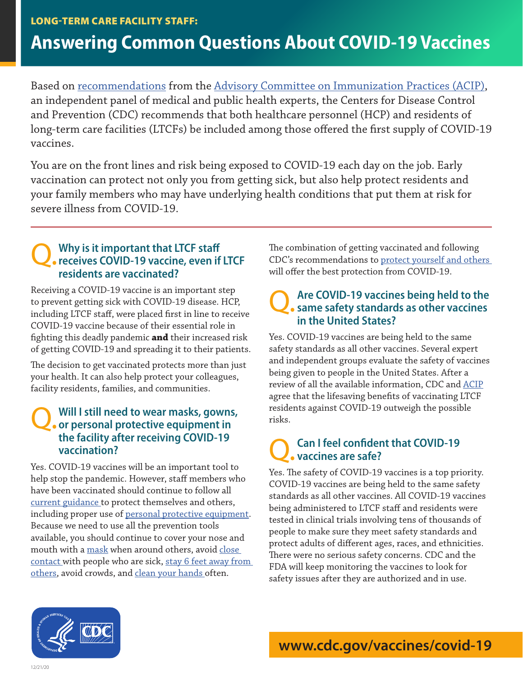# **Answering Common Questions About COVID-19 Vaccines**

Based on <u>recommendations</u> from the <u>[Advisory Committee on Immunization Practices \(ACIP\),](https://www.cdc.gov/vaccines/acip/)</u> an independent panel of medical and public health experts, the Centers for Disease Control and Prevention (CDC) recommends that both healthcare personnel (HCP) and residents of long-term care facilities (LTCFs) be included among those offered the first supply of COVID-19 vaccines.

You are on the front lines and risk being exposed to COVID-19 each day on the job. Early vaccination can protect not only you from getting sick, but also help protect residents and your family members who may have underlying health conditions that put them at risk for severe illness from COVID-19.

## Q. **Why is it important that LTCF staff receives COVID-19 vaccine, even if LTCF residents are vaccinated?**

Receiving a COVID-19 vaccine is an important step to prevent getting sick with COVID-19 disease. HCP, including LTCF staff, were placed first in line to receive COVID-19 vaccine because of their essential role in fighting this deadly pandemic **and** their increased risk of getting COVID-19 and spreading it to their patients.

The decision to get vaccinated protects more than just your health. It can also help protect your colleagues, facility residents, families, and communities.

### Q. **Will I still need to wear masks, gowns, or personal protective equipment in the facility after receiving COVID-19 vaccination?**

Yes. COVID-19 vaccines will be an important tool to help stop the pandemic. However, staff members who have been vaccinated should continue to follow all [current guidance](https://www.cdc.gov/coronavirus/2019-ncov/index.html) to protect themselves and others, including proper use of [personal protective equipment](https://www.cdc.gov/coronavirus/2019-ncov/hcp/using-ppe.html). Because we need to use all the prevention tools available, you should continue to cover your nose and mouth with a [mask](https://www.cdc.gov/coronavirus/2019-ncov/prevent-getting-sick/cloth-face-cover-guidance.html) when around others, avoid close [contact](https://www.cdc.gov/coronavirus/2019-ncov/php/contact-tracing/contact-tracing-plan/appendix.html#contact) with people who are sick, [stay 6 feet away from](https://www.cdc.gov/coronavirus/2019-ncov/prevent-getting-sick/social-distancing.html)  [others](https://www.cdc.gov/coronavirus/2019-ncov/prevent-getting-sick/social-distancing.html), avoid crowds, and clea[n your hands o](https://www.cdc.gov/handwashing/when-how-handwashing.html)ften.

The combination of getting vaccinated and following CDC's recommendations to [protect yourself and others](https://www.cdc.gov/coronavirus/2019-ncov/prevent-getting-sick/prevention.html)  will offer the best protection from COVID-19.

## Q. **Are COVID-19 vaccines being held to the same safety standards as other vaccines in the United States?**

Yes. COVID-19 vaccines are being held to the same safety standards as all other vaccines. Several expert and independent groups evaluate the safety of vaccines being given to people in the United States. After a review of all the available information, CDC and <u>[ACIP](https://www.cdc.gov/vaccines/acip/)</u> agree that the lifesaving benefits of vaccinating LTCF residents against COVID-19 outweigh the possible risks.

#### Q. **Can I feel confident that COVID-19 vaccines are safe?**

Yes. The safety of COVID-19 vaccines is a top priority. COVID-19 vaccines are being held to the same safety standards as all other vaccines. All COVID-19 vaccines being administered to LTCF staff and residents were tested in clinical trials involving tens of thousands of people to make sure they meet safety standards and protect adults of different ages, races, and ethnicities. There were no serious safety concerns. CDC and the FDA will keep monitoring the vaccines to look for safety issues after they are authorized and in use.



[www.cdc.gov/vaccines/covid-19](https://www.cdc.gov/vaccines/covid-19)